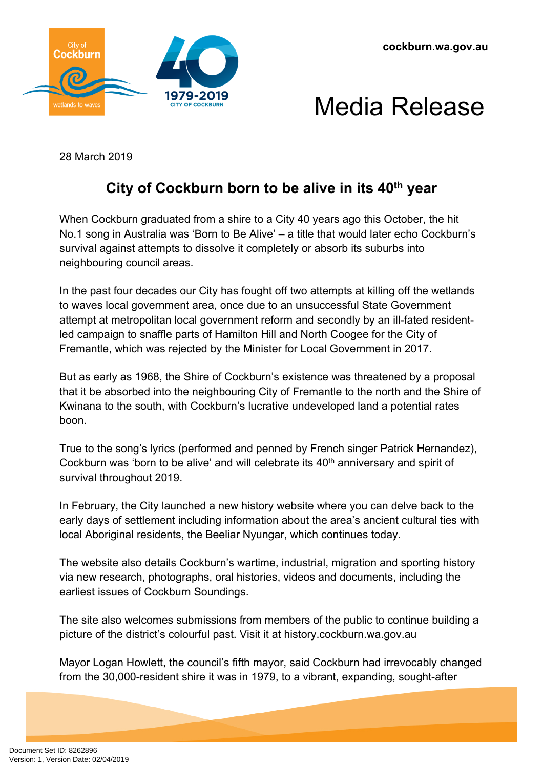



28 March 2019

## **City of Cockburn born to be alive in its 40th year**

When Cockburn graduated from a shire to a City 40 years ago this October, the hit No.1 song in Australia was 'Born to Be Alive' – a title that would later echo Cockburn's survival against attempts to dissolve it completely or absorb its suburbs into neighbouring council areas.

In the past four decades our City has fought off two attempts at killing off the wetlands to waves local government area, once due to an unsuccessful State Government attempt at metropolitan local government reform and secondly by an ill-fated residentled campaign to snaffle parts of Hamilton Hill and North Coogee for the City of Fremantle, which was rejected by the Minister for Local Government in 2017.

But as early as 1968, the Shire of Cockburn's existence was threatened by a proposal that it be absorbed into the neighbouring City of Fremantle to the north and the Shire of Kwinana to the south, with Cockburn's lucrative undeveloped land a potential rates boon.

True to the song's lyrics (performed and penned by French singer Patrick Hernandez), Cockburn was 'born to be alive' and will celebrate its 40<sup>th</sup> anniversary and spirit of survival throughout 2019.

In February, the City launched a new history website where you can delve back to the early days of settlement including information about the area's ancient cultural ties with local Aboriginal residents, the Beeliar Nyungar, which continues today.

The website also details Cockburn's wartime, industrial, migration and sporting history via new research, photographs, oral histories, videos and documents, including the earliest issues of Cockburn Soundings.

The site also welcomes submissions from members of the public to continue building a picture of the district's colourful past. Visit it at history.cockburn.wa.gov.au

Mayor Logan Howlett, the council's fifth mayor, said Cockburn had irrevocably changed from the 30,000-resident shire it was in 1979, to a vibrant, expanding, sought-after

Document Set ID: 8262896<br>Version: 1, Version Date: 02/04/2019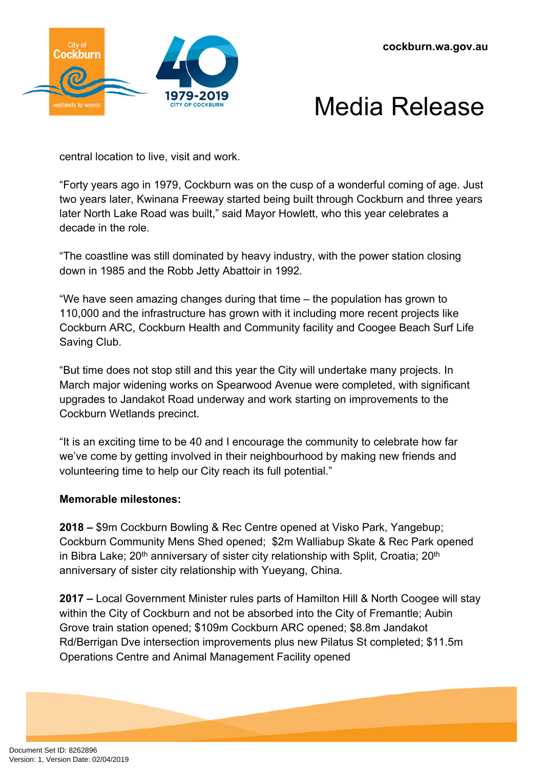

## Media Release

central location to live, visit and work.

"Forty years ago in 1979, Cockburn was on the cusp of a wonderful coming of age. Just two years later, Kwinana Freeway started being built through Cockburn and three years later North Lake Road was built," said Mayor Howlett, who this year celebrates a decade in the role.

"The coastline was still dominated by heavy industry, with the power station closing down in 1985 and the Robb Jetty Abattoir in 1992.

"We have seen amazing changes during that time – the population has grown to 110,000 and the infrastructure has grown with it including more recent projects like Cockburn ARC, Cockburn Health and Community facility and Coogee Beach Surf Life Saving Club.

"But time does not stop still and this year the City will undertake many projects. In March major widening works on Spearwood Avenue were completed, with significant upgrades to Jandakot Road underway and work starting on improvements to the Cockburn Wetlands precinct.

"It is an exciting time to be 40 and I encourage the community to celebrate how far we've come by getting involved in their neighbourhood by making new friends and volunteering time to help our City reach its full potential."

## **Memorable milestones:**

**2018 –** \$9m Cockburn Bowling & Rec Centre opened at Visko Park, Yangebup; Cockburn Community Mens Shed opened; \$2m Walliabup Skate & Rec Park opened in Bibra Lake;  $20<sup>th</sup>$  anniversary of sister city relationship with Split, Croatia;  $20<sup>th</sup>$ anniversary of sister city relationship with Yueyang, China.

**2017 –** Local Government Minister rules parts of Hamilton Hill & North Coogee will stay within the City of Cockburn and not be absorbed into the City of Fremantle; Aubin Grove train station opened; \$109m Cockburn ARC opened; \$8.8m Jandakot Rd/Berrigan Dve intersection improvements plus new Pilatus St completed; \$11.5m Operations Centre and Animal Management Facility opened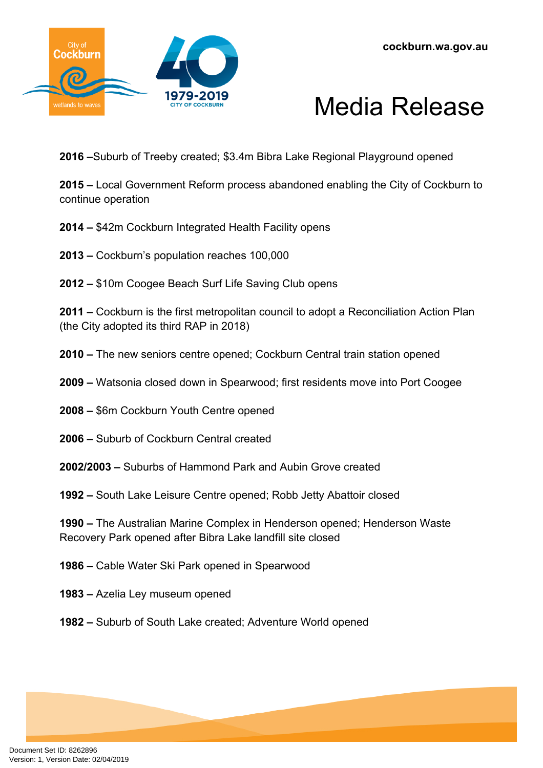



**2016 –**Suburb of Treeby created; \$3.4m Bibra Lake Regional Playground opened

**2015 –** Local Government Reform process abandoned enabling the City of Cockburn to continue operation

- **2014 –** \$42m Cockburn Integrated Health Facility opens
- **2013 –** Cockburn's population reaches 100,000
- **2012 –** \$10m Coogee Beach Surf Life Saving Club opens

**2011 –** Cockburn is the first metropolitan council to adopt a Reconciliation Action Plan (the City adopted its third RAP in 2018)

- **2010 –** The new seniors centre opened; Cockburn Central train station opened
- **2009 –** Watsonia closed down in Spearwood; first residents move into Port Coogee
- **2008 –** \$6m Cockburn Youth Centre opened
- **2006 –** Suburb of Cockburn Central created
- **2002/2003 –** Suburbs of Hammond Park and Aubin Grove created
- **1992** South Lake Leisure Centre opened; Robb Jetty Abattoir closed

**1990 –** The Australian Marine Complex in Henderson opened; Henderson Waste Recovery Park opened after Bibra Lake landfill site closed

- **1986** Cable Water Ski Park opened in Spearwood
- **1983 –** Azelia Ley museum opened
- **1982 –** Suburb of South Lake created; Adventure World opened